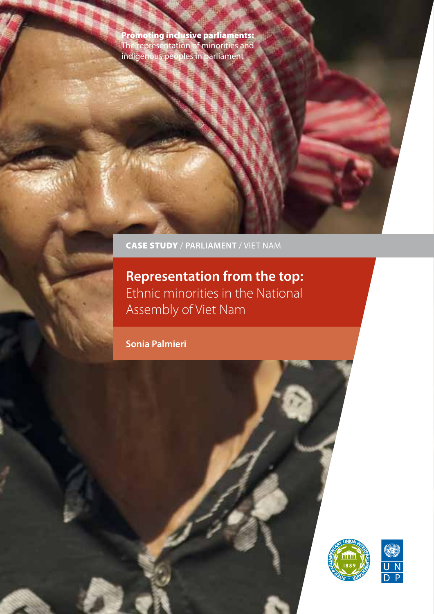Promoting inclusive parliaments: The representation of minorities and indigenous peoples in parliament

CASE STUDY / **PARLIAMENT** / VIET NAM

**Representation from the top:** Ethnic minorities in the National Assembly of Viet Nam

**Sonia Palmieri** 



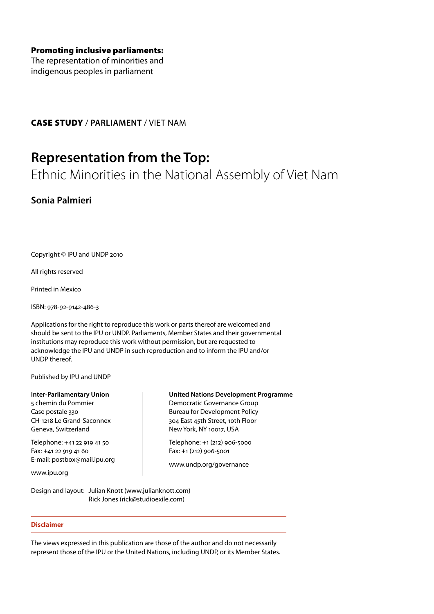The representation of minorities and indigenous peoples in parliament

CASE STUDY / **PARLIAMENT** / VIET NAM

## **Representation from the Top:**

Ethnic Minorities in the National Assembly of Viet Nam

**Sonia Palmieri**

Copyright © IPU and UNDP 2010

All rights reserved

Printed in Mexico

ISBN: 978-92-9142-486-3

Applications for the right to reproduce this work or parts thereof are welcomed and should be sent to the IPU or UNDP. Parliaments, Member States and their governmental institutions may reproduce this work without permission, but are requested to acknowledge the IPU and UNDP in such reproduction and to inform the IPU and/or UNDP thereof.

Published by IPU and UNDP

**Inter-Parliamentary Union** 5 chemin du Pommier Case postale 330 CH-1218 Le Grand-Saconnex

Telephone: +41 22 919 41 50 Fax: +41 22 919 41 60 E-mail: postbox@mail.ipu.org

Geneva, Switzerland

www.ipu.org

**United Nations Development Programme**

Democratic Governance Group Bureau for Development Policy 304 East 45th Street, 10th Floor New York, NY 10017, USA

Telephone: +1 (212) 906-5000 Fax: +1 (212) 906-5001

www.undp.org/governance

Design and layout: Julian Knott (www.julianknott.com) Rick Jones (rick@studioexile.com)

## **Disclaimer**

The views expressed in this publication are those of the author and do not necessarily represent those of the IPU or the United Nations, including UNDP, or its Member States.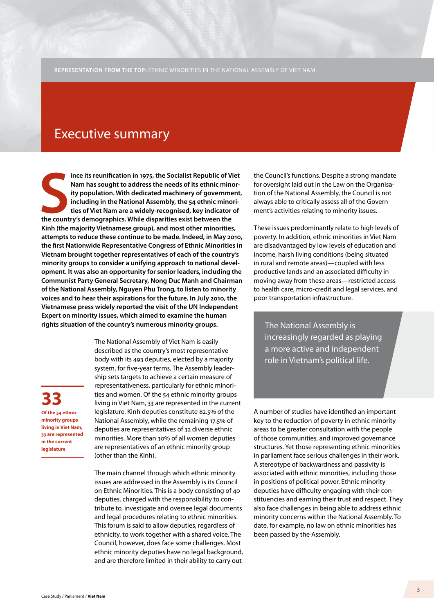## Executive summary

ince its reunification in 1975, the Socialist Republic of V<br>
Nam has sought to address the needs of its ethnic mino<br>
ity population. With dedicated machinery of governme<br>
including in the National Assembly, the 54 ethnic m **ince its reunification in 1975, the Socialist Republic of Viet Nam has sought to address the needs of its ethnic minority population. With dedicated machinery of government, including in the National Assembly, the 54 ethnic minorities of Viet Nam are a widely-recognised, key indicator of Kinh (the majority Vietnamese group), and most other minorities, attempts to reduce these continue to be made. Indeed, in May 2010, the first Nationwide Representative Congress of Ethnic Minorities in Vietnam brought together representatives of each of the country's minority groups to consider a unifying approach to national development. It was also an opportunity for senior leaders, including the Communist Party General Secretary, Nong Duc Manh and Chairman of the National Assembly, Nguyen Phu Trong, to listen to minority voices and to hear their aspirations for the future. In July 2010, the Vietnamese press widely reported the visit of the UN Independent Expert on minority issues, which aimed to examine the human rights situation of the country's numerous minority groups.** The National Assembly is

**33 Of the 54 ethnic minority groups living in Viet Nam, 33 are represented in the current legislature**

The National Assembly of Viet Nam is easily described as the country's most representative body with its 493 deputies, elected by a majority system, for five-year terms. The Assembly leadership sets targets to achieve a certain measure of representativeness, particularly for ethnic minorities and women. Of the 54 ethnic minority groups living in Viet Nam, 33 are represented in the current legislature. Kinh deputies constitute 82.5% of the National Assembly, while the remaining 17.5% of deputies are representatives of 32 diverse ethnic minorities. More than 30% of all women deputies are representatives of an ethnic minority group (other than the Kinh).

The main channel through which ethnic minority issues are addressed in the Assembly is its Council on Ethnic Minorities. This is a body consisting of 40 deputies, charged with the responsibility to contribute to, investigate and oversee legal documents and legal procedures relating to ethnic minorities. This forum is said to allow deputies, regardless of ethnicity, to work together with a shared voice. The Council, however, does face some challenges. Most ethnic minority deputies have no legal background, and are therefore limited in their ability to carry out

the Council's functions. Despite a strong mandate for oversight laid out in the Law on the Organisation of the National Assembly, the Council is not always able to critically assess all of the Government's activities relating to minority issues.

These issues predominantly relate to high levels of poverty. In addition, ethnic minorities in Viet Nam are disadvantaged by low levels of education and income, harsh living conditions (being situated in rural and remote areas)—coupled with less productive lands and an associated difficulty in moving away from these areas—restricted access to health care, micro-credit and legal services, and poor transportation infrastructure.

increasingly regarded as playing a more active and independent role in Vietnam's political life.

A number of studies have identified an important key to the reduction of poverty in ethnic minority areas to be greater consultation with the people of those communities, and improved governance structures. Yet those representing ethnic minorities in parliament face serious challenges in their work. A stereotype of backwardness and passivity is associated with ethnic minorities, including those in positions of political power. Ethnic minority deputies have difficulty engaging with their constituencies and earning their trust and respect. They also face challenges in being able to address ethnic minority concerns within the National Assembly. To date, for example, no law on ethnic minorities has been passed by the Assembly.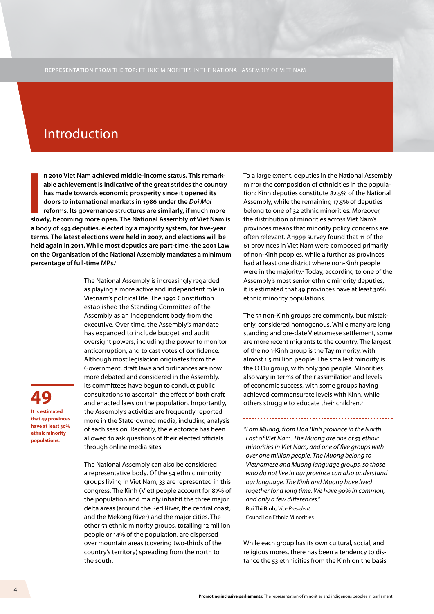## Introduction

**I**<br>Slov **n 2010 Viet Nam achieved middle-income status. This remarkable achievement is indicative of the great strides the country has made towards economic prosperity since it opened its doors to international markets in 1986 under the** *Doi Moi*  **reforms. Its governance structures are similarly, if much more slowly, becoming more open. The National Assembly of Viet Nam is a body of 493 deputies, elected by a majority system, for five-year terms. The latest elections were held in 2007, and elections will be held again in 2011. While most deputies are part-time, the 2001 Law on the Organisation of the National Assembly mandates a minimum percentage of full-time MPs.1**

> The National Assembly is increasingly regarded as playing a more active and independent role in Vietnam's political life. The 1992 Constitution established the Standing Committee of the Assembly as an independent body from the executive. Over time, the Assembly's mandate has expanded to include budget and audit oversight powers, including the power to monitor anticorruption, and to cast votes of confidence. Although most legislation originates from the Government, draft laws and ordinances are now more debated and considered in the Assembly. Its committees have begun to conduct public consultations to ascertain the effect of both draft and enacted laws on the population. Importantly, the Assembly's activities are frequently reported more in the State-owned media, including analysis of each session. Recently, the electorate has been allowed to ask questions of their elected officials through online media sites.

The National Assembly can also be considered a representative body. Of the 54 ethnic minority groups living in Viet Nam, 33 are represented in this congress. The Kinh (Viet) people account for 87% of the population and mainly inhabit the three major delta areas (around the Red River, the central coast, and the Mekong River) and the major cities. The other 53 ethnic minority groups, totalling 12 million people or 14% of the population, are dispersed over mountain areas (covering two-thirds of the country's territory) spreading from the north to the south.

To a large extent, deputies in the National Assembly mirror the composition of ethnicities in the population: Kinh deputies constitute 82.5% of the National Assembly, while the remaining 17.5% of deputies belong to one of 32 ethnic minorities. Moreover, the distribution of minorities across Viet Nam's provinces means that minority policy concerns are often relevant. A 1999 survey found that 11 of the 61 provinces in Viet Nam were composed primarily of non-Kinh peoples, while a further 28 provinces had at least one district where non-Kinh people were in the majority.<sup>2</sup> Today, according to one of the Assembly's most senior ethnic minority deputies, it is estimated that 49 provinces have at least 30% ethnic minority populations.

The 53 non-Kinh groups are commonly, but mistakenly, considered homogenous. While many are long standing and pre-date Vietnamese settlement, some are more recent migrants to the country. The largest of the non-Kinh group is the Tay minority, with almost 1.5 million people. The smallest minority is the O Du group, with only 300 people. Minorities also vary in terms of their assimilation and levels of economic success, with some groups having achieved commensurate levels with Kinh, while others struggle to educate their children.3

*"I am Muong, from Hoa Binh province in the North East of Viet Nam. The Muong are one of 53 ethnic minorities in Viet Nam, and one of five groups with over one million people. The Muong belong to Vietnamese and Muong language groups, so those who do not live in our province can also understand our language. The Kinh and Muong have lived together for a long time. We have 90% in common, and only a few differences."*  **Bui Thi Binh,** *Vice President* Council on Ethnic Minorities

While each group has its own cultural, social, and religious mores, there has been a tendency to distance the 53 ethnicities from the Kinh on the basis

**Promoting inclusive parliaments:** The representation of minorities and indigenous peoples in parliament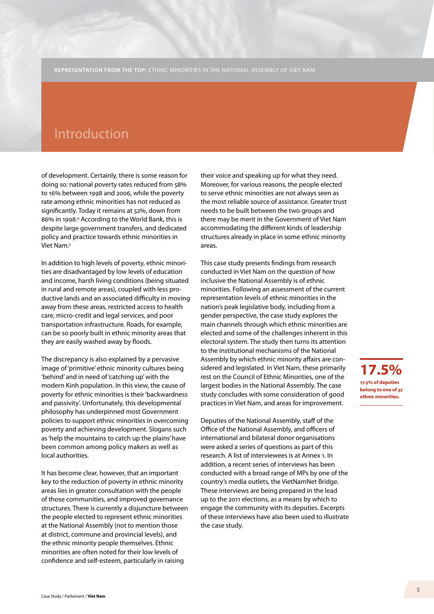## Introduction

of development. Certainly, there is some reason for doing so: national poverty rates reduced from 58% to 16% between 1998 and 2006, while the poverty rate among ethnic minorities has not reduced as significantly. Today it remains at 52%, down from 86% in 1998.4 According to the World Bank, this is despite large government transfers, and dedicated policy and practice towards ethnic minorities in Viet Nam.5

In addition to high levels of poverty, ethnic minorities are disadvantaged by low levels of education and income, harsh living conditions (being situated in rural and remote areas), coupled with less productive lands and an associated difficulty in moving away from these areas, restricted access to health care, micro-credit and legal services, and poor transportation infrastructure. Roads, for example, can be so poorly built in ethnic minority areas that they are easily washed away by floods.

The discrepancy is also explained by a pervasive image of 'primitive' ethnic minority cultures being 'behind' and in need of 'catching up' with the modern Kinh population. In this view, the cause of poverty for ethnic minorities is their 'backwardness and passivity'. Unfortunately, this developmental philosophy has underpinned most Government policies to support ethnic minorities in overcoming poverty and achieving development. Slogans such as 'help the mountains to catch up the plains' have been common among policy makers as well as local authorities.

It has become clear, however, that an important key to the reduction of poverty in ethnic minority areas lies in greater consultation with the people of those communities, and improved governance structures. There is currently a disjuncture between the people elected to represent ethnic minorities at the National Assembly (not to mention those at district, commune and provincial levels), and the ethnic minority people themselves. Ethnic minorities are often noted for their low levels of confidence and self-esteem, particularly in raising

their voice and speaking up for what they need. Moreover, for various reasons, the people elected to serve ethnic minorities are not always seen as the most reliable source of assistance. Greater trust needs to be built between the two groups and there may be merit in the Government of Viet Nam accommodating the different kinds of leadership structures already in place in some ethnic minority areas.

This case study presents findings from research conducted in Viet Nam on the question of how inclusive the National Assembly is of ethnic minorities. Following an assessment of the current representation levels of ethnic minorities in the nation's peak legislative body, including from a gender perspective, the case study explores the main channels through which ethnic minorities are elected and some of the challenges inherent in this electoral system. The study then turns its attention to the institutional mechanisms of the National Assembly by which ethnic minority affairs are considered and legislated. In Viet Nam, these primarily rest on the Council of Ethnic Minorities, one of the largest bodies in the National Assembly. The case study concludes with some consideration of good practices in Viet Nam, and areas for improvement.

Deputies of the National Assembly, staff of the Office of the National Assembly, and officers of international and bilateral donor organisations were asked a series of questions as part of this research. A list of interviewees is at Annex 1. In addition, a recent series of interviews has been conducted with a broad range of MPs by one of the country's media outlets, the VietNamNet Bridge. These interviews are being prepared in the lead up to the 2011 elections, as a means by which to engage the community with its deputies. Excerpts of these interviews have also been used to illustrate the case study.

**17.5% 17.5% of deputies belong to one of 32 ethnic minorities.**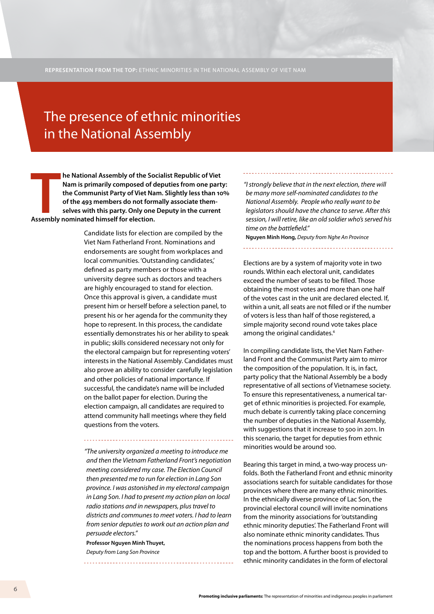## The presence of ethnic minorities in the National Assembly

**THE MANUTE CONTROVER FOR THE FORMATION ISSUES THE COMMUNIST FOR A SERVIDUM OF A SERVIDUM CONTROVER FOR A SERVIDUM AND A SERVIDUM AND A SERVIDUM AND A SERVIDUM AND A SERVIDUM AND A SERVIDUM AND A SERVIDUM AND A SERVIDUM AN he National Assembly of the Socialist Republic of Viet Nam is primarily composed of deputies from one party: the Communist Party of Viet Nam. Slightly less than 10% of the 493 members do not formally associate themselves with this party. Only one Deputy in the current** 

> Candidate lists for election are compiled by the Viet Nam Fatherland Front. Nominations and endorsements are sought from workplaces and local communities. 'Outstanding candidates,' defined as party members or those with a university degree such as doctors and teachers are highly encouraged to stand for election. Once this approval is given, a candidate must present him or herself before a selection panel, to present his or her agenda for the community they hope to represent. In this process, the candidate essentially demonstrates his or her ability to speak in public; skills considered necessary not only for the electoral campaign but for representing voters' interests in the National Assembly. Candidates must also prove an ability to consider carefully legislation and other policies of national importance. If successful, the candidate's name will be included on the ballot paper for election. During the election campaign, all candidates are required to attend community hall meetings where they field questions from the voters.

*"The university organized a meeting to introduce me and then the Vietnam Fatherland Front's negotiation meeting considered my case. The Election Council then presented me to run for election in Lang Son province. I was astonished in my electoral campaign in Lang Son. I had to present my action plan on local radio stations and in newspapers, plus travel to districts and communes to meet voters. I had to learn from senior deputies to work out an action plan and persuade electors."*

**Professor Nguyen Minh Thuyet,**  *Deputy from Lang Son Province*

*"I strongly believe that in the next election, there will be many more self-nominated candidates to the National Assembly. People who really want to be legislators should have the chance to serve. After this session, I will retire, like an old soldier who's served his time on the battlefield."*

**Nguyen Minh Hong,** *Deputy from Nghe An Province*

Elections are by a system of majority vote in two rounds. Within each electoral unit, candidates exceed the number of seats to be filled. Those obtaining the most votes and more than one half of the votes cast in the unit are declared elected. If, within a unit, all seats are not filled or if the number of voters is less than half of those registered, a simple majority second round vote takes place among the original candidates.<sup>6</sup>

In compiling candidate lists, the Viet Nam Fatherland Front and the Communist Party aim to mirror the composition of the population. It is, in fact, party policy that the National Assembly be a body representative of all sections of Vietnamese society. To ensure this representativeness, a numerical target of ethnic minorities is projected. For example, much debate is currently taking place concerning the number of deputies in the National Assembly, with suggestions that it increase to 500 in 2011. In this scenario, the target for deputies from ethnic minorities would be around 100.

Bearing this target in mind, a two-way process unfolds. Both the Fatherland Front and ethnic minority associations search for suitable candidates for those provinces where there are many ethnic minorities. In the ethnically diverse province of Lac Son, the provincial electoral council will invite nominations from the minority associations for 'outstanding ethnic minority deputies'. The Fatherland Front will also nominate ethnic minority candidates. Thus the nominations process happens from both the top and the bottom. A further boost is provided to ethnic minority candidates in the form of electoral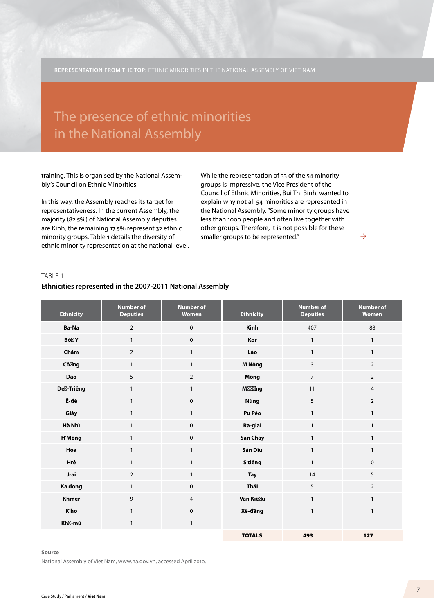## in the National Assembly The presence of ethnic minorities

training. This is organised by the National Assembly's Council on Ethnic Minorities.

In this way, the Assembly reaches its target for representativeness. In the current Assembly, the majority (82.5%) of National Assembly deputies are Kinh, the remaining 17.5% represent 32 ethnic minority groups. Table 1 details the diversity of ethnic minority representation at the national level. While the representation of 33 of the 54 minority groups is impressive, the Vice President of the Council of Ethnic Minorities, Bui Thi Binh, wanted to explain why not all 54 minorities are represented in the National Assembly. "Some minority groups have less than 1000 people and often live together with other groups. Therefore, it is not possible for these smaller groups to be represented."

## TABLE 1

## **Ethnicities represented in the 2007-2011 National Assembly**

| <b>Ethnicity</b> | <b>Number of</b><br><b>Deputies</b> | <b>Number of</b><br>Women | <b>Ethnicity</b> | <b>Number of</b><br><b>Deputies</b> | <b>Number of</b><br>Women |
|------------------|-------------------------------------|---------------------------|------------------|-------------------------------------|---------------------------|
| Ba-Na            | $\overline{2}$                      | 0                         | <b>Kinh</b>      | 407                                 | 88                        |
| Bô Y             | $\mathbf{1}$                        | 0                         | Kor              | $\mathbf{1}$                        | $\mathbf{1}$              |
| Chăm             | $\overline{2}$                      | $\mathbf{1}$              | Lào              | $\mathbf{1}$                        | $\mathbf{1}$              |
| Cô ng            | $\mathbf{1}$                        | $\mathbf{1}$              | M Nông           | 3                                   | $\overline{2}$            |
| <b>Dao</b>       | 5                                   | $\overline{2}$            | Mông             | $\overline{7}$                      | $\overline{2}$            |
| De -Triêng       | $\mathbf{1}$                        | $\mathbf{1}$              | M<br>ng          | 11                                  | 4                         |
| Ê-đê             | $\mathbf{1}$                        | $\mathbf 0$               | <b>Nùng</b>      | 5                                   | $\overline{2}$            |
| Giáy             | $\mathbf{1}$                        | $\mathbf{1}$              | Pu Péo           | $\mathbf{1}$                        | $\mathbf{1}$              |
| Hà Nhì           | $\mathbf{1}$                        | $\mathbf 0$               | Ra-glai          | $\mathbf{1}$                        | 1                         |
| <b>H'Mông</b>    | $\mathbf{1}$                        | $\mathbf 0$               | Sán Chay         | $\mathbf{1}$                        | $\mathbf{1}$              |
| Hoa              | $\mathbf{1}$                        | $\mathbf{1}$              | Sán Dìu          | $\mathbf{1}$                        | $\mathbf{1}$              |
| Hrê              | $\mathbf{1}$                        | $\mathbf{1}$              | S'tiêng          | $\mathbf{1}$                        | $\mathbf 0$               |
| <b>Jrai</b>      | $\overline{2}$                      | $\mathbf{1}$              | Tày              | 14                                  | 5                         |
| Ka dong          | $\mathbf{1}$                        | $\mathbf 0$               | Thái             | 5                                   | $\overline{2}$            |
| <b>Khmer</b>     | 9                                   | 4                         | Vân Kiê u        | $\mathbf{1}$                        | $\mathbf{1}$              |
| K'ho             | $\mathbf{1}$                        | $\mathbf 0$               | Xê-đăng          | $\mathbf{1}$                        | $\mathbf{1}$              |
| Kh -mú           | $\mathbf{1}$                        | $\mathbf{1}$              |                  |                                     |                           |
|                  |                                     |                           | <b>TOTALS</b>    | 493                                 | 127                       |

#### **Source**

National Assembly of Viet Nam, www.na.gov.vn, accessed April 2010.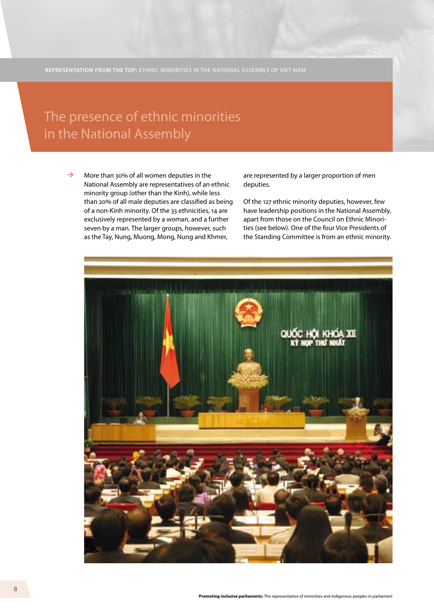## in the National Assembly The presence of ethnic minorities

More than 30% of all women deputies in the National Assembly are representatives of an ethnic minority group (other than the Kinh), while less than 20% of all male deputies are classified as being of a non-Kinh minority. Of the 33 ethnicities, 14 are exclusively represented by a woman, and a further seven by a man. The larger groups, however, such as the Tay, Nung, Muong, Mong, Nung and Khmer,  $\rightarrow$ 

are represented by a larger proportion of men deputies.

Of the 127 ethnic minority deputies, however, few have leadership positions in the National Assembly, apart from those on the Council on Ethnic Minorities (see below). One of the four Vice Presidents of the Standing Committee is from an ethnic minority.

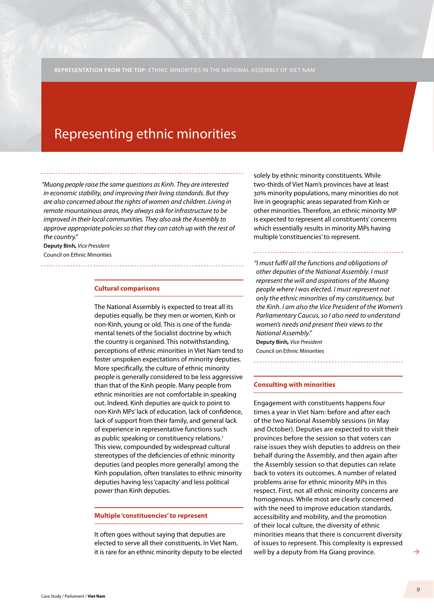## Representing ethnic minorities

*"Muong people raise the same questions as Kinh. They are interested in economic stability, and improving their living standards. But they are also concerned about the rights of women and children. Living in remote mountainous areas, they always ask for infrastructure to be improved in their local communities. They also ask the Assembly to approve appropriate policies so that they can catch up with the rest of the country."* 

**Deputy Binh***, Vice President* Council on Ethnic Minorities

#### **Cultural comparisons**

The National Assembly is expected to treat all its deputies equally, be they men or women, Kinh or non-Kinh, young or old. This is one of the fundamental tenets of the Socialist doctrine by which the country is organised. This notwithstanding, perceptions of ethnic minorities in Viet Nam tend to foster unspoken expectations of minority deputies. More specifically, the culture of ethnic minority people is generally considered to be less aggressive than that of the Kinh people. Many people from ethnic minorities are not comfortable in speaking out. Indeed, Kinh deputies are quick to point to non-Kinh MPs' lack of education, lack of confidence, lack of support from their family, and general lack of experience in representative functions such as public speaking or constituency relations.<sup>7</sup> This view, compounded by widespread cultural stereotypes of the deficiencies of ethnic minority deputies (and peoples more generally) among the Kinh population, often translates to ethnic minority deputies having less 'capacity' and less political power than Kinh deputies.

#### **Multiple 'constituencies' to represent**

It often goes without saying that deputies are elected to serve all their constituents. In Viet Nam, it is rare for an ethnic minority deputy to be elected

solely by ethnic minority constituents. While two-thirds of Viet Nam's provinces have at least 30% minority populations, many minorities do not live in geographic areas separated from Kinh or other minorities. Therefore, an ethnic minority MP is expected to represent all constituents' concerns which essentially results in minority MPs having multiple 'constituencies' to represent.

*"I must fulfil all the functions and obligations of other deputies of the National Assembly. I must represent the will and aspirations of the Muong people where I was elected. I must represent not only the ethnic minorities of my constituency, but the Kinh. I am also the Vice President of the Women's Parliamentary Caucus, so I also need to understand women's needs and present their views to the National Assembly."*  **Deputy Binh***, Vice President*

Council on Ethnic Minorities

#### **Consulting with minorities**

Engagement with constituents happens four times a year in Viet Nam: before and after each of the two National Assembly sessions (in May and October). Deputies are expected to visit their provinces before the session so that voters can raise issues they wish deputies to address on their behalf during the Assembly, and then again after the Assembly session so that deputies can relate back to voters its outcomes. A number of related problems arise for ethnic minority MPs in this respect. First, not all ethnic minority concerns are homogenous. While most are clearly concerned with the need to improve education standards, accessibility and mobility, and the promotion of their local culture, the diversity of ethnic minorities means that there is concurrent diversity of issues to represent. This complexity is expressed well by a deputy from Ha Giang province.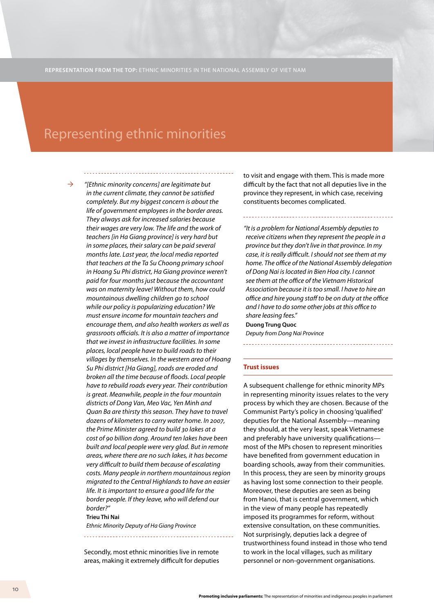## Representing ethnic minorities

 $\rightarrow$ 

*"[Ethnic minority concerns] are legitimate but in the current climate, they cannot be satisfied completely. But my biggest concern is about the life of government employees in the border areas. They always ask for increased salaries because their wages are very low. The life and the work of teachers [in Ha Giang province] is very hard but in some places, their salary can be paid several months late. Last year, the local media reported that teachers at the Ta Su Choong primary school in Hoang Su Phi district, Ha Giang province weren't paid for four months just because the accountant was on maternity leave! Without them, how could mountainous dwelling children go to school while our policy is popularizing education? We must ensure income for mountain teachers and encourage them, and also health workers as well as grassroots officials. It is also a matter of importance that we invest in infrastructure facilities. In some places, local people have to build roads to their villages by themselves. In the western area of Hoang Su Phi district [Ha Giang], roads are eroded and broken all the time because of floods. Local people have to rebuild roads every year. Their contribution is great. Meanwhile, people in the four mountain districts of Dong Van, Meo Vac, Yen Minh and Quan Ba are thirsty this season. They have to travel dozens of kilometers to carry water home. In 2007, the Prime Minister agreed to build 30 lakes at a cost of 90 billion dong. Around ten lakes have been built and local people were very glad. But in remote areas, where there are no such lakes, it has become very difficult to build them because of escalating costs. Many people in northern mountainous region migrated to the Central Highlands to have an easier life. It is important to ensure a good life for the border people. If they leave, who will defend our border?"*

#### **Trieu Thi Nai**

*Ethnic Minority Deputy of Ha Giang Province*

Secondly, most ethnic minorities live in remote areas, making it extremely difficult for deputies to visit and engage with them. This is made more difficult by the fact that not all deputies live in the province they represent, in which case, receiving constituents becomes complicated.

*"It is a problem for National Assembly deputies to receive citizens when they represent the people in a province but they don't live in that province. In my case, it is really difficult. I should not see them at my home. The office of the National Assembly delegation of Dong Nai is located in Bien Hoa city. I cannot see them at the office of the Vietnam Historical Association because it is too small. I have to hire an office and hire young staff to be on duty at the office and I have to do some other jobs at this office to share leasing fees."*  **Duong Trung Quoc**

*Deputy from Dong Nai Province*

#### **Trust issues**

A subsequent challenge for ethnic minority MPs in representing minority issues relates to the very process by which they are chosen. Because of the Communist Party's policy in choosing 'qualified' deputies for the National Assembly—meaning they should, at the very least, speak Vietnamese and preferably have university qualifications most of the MPs chosen to represent minorities have benefited from government education in boarding schools, away from their communities. In this process, they are seen by minority groups as having lost some connection to their people. Moreover, these deputies are seen as being from Hanoi, that is central government, which in the view of many people has repeatedly imposed its programmes for reform, without extensive consultation, on these communities. Not surprisingly, deputies lack a degree of trustworthiness found instead in those who tend to work in the local villages, such as military personnel or non-government organisations.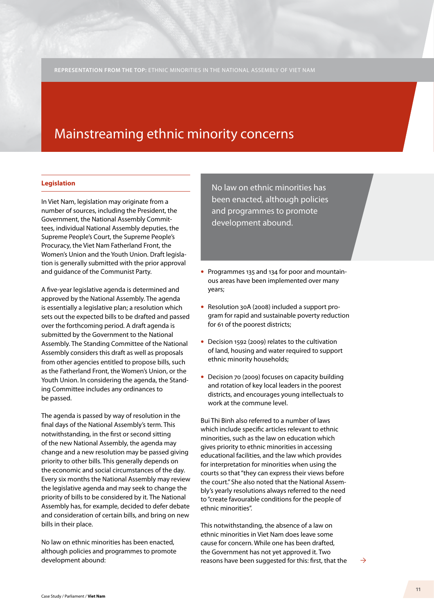#### **Legislation**

In Viet Nam, legislation may originate from a number of sources, including the President, the Government, the National Assembly Committees, individual National Assembly deputies, the Supreme People's Court, the Supreme People's Procuracy, the Viet Nam Fatherland Front, the Women's Union and the Youth Union. Draft legislation is generally submitted with the prior approval and guidance of the Communist Party.

A five-year legislative agenda is determined and approved by the National Assembly. The agenda is essentially a legislative plan; a resolution which sets out the expected bills to be drafted and passed over the forthcoming period. A draft agenda is submitted by the Government to the National Assembly. The Standing Committee of the National Assembly considers this draft as well as proposals from other agencies entitled to propose bills, such as the Fatherland Front, the Women's Union, or the Youth Union. In considering the agenda, the Standing Committee includes any ordinances to be passed.

The agenda is passed by way of resolution in the final days of the National Assembly's term. This notwithstanding, in the first or second sitting of the new National Assembly, the agenda may change and a new resolution may be passed giving priority to other bills. This generally depends on the economic and social circumstances of the day. Every six months the National Assembly may review the legislative agenda and may seek to change the priority of bills to be considered by it. The National Assembly has, for example, decided to defer debate and consideration of certain bills, and bring on new bills in their place.

No law on ethnic minorities has been enacted, although policies and programmes to promote development abound:

No law on ethnic minorities has been enacted, although policies and programmes to promote development abound.

- Programmes 135 and 134 for poor and mountainous areas have been implemented over many years;
- Resolution 30A (2008) included a support program for rapid and sustainable poverty reduction for 61 of the poorest districts;
- Decision 1592 (2009) relates to the cultivation of land, housing and water required to support ethnic minority households;
- Decision 70 (2009) focuses on capacity building and rotation of key local leaders in the poorest districts, and encourages young intellectuals to work at the commune level.

Bui Thi Binh also referred to a number of laws which include specific articles relevant to ethnic minorities, such as the law on education which gives priority to ethnic minorities in accessing educational facilities, and the law which provides for interpretation for minorities when using the courts so that "they can express their views before the court." She also noted that the National Assembly's yearly resolutions always referred to the need to "create favourable conditions for the people of ethnic minorities".

This notwithstanding, the absence of a law on ethnic minorities in Viet Nam does leave some cause for concern. While one has been drafted, the Government has not yet approved it. Two reasons have been suggested for this: first, that the

 $\rightarrow$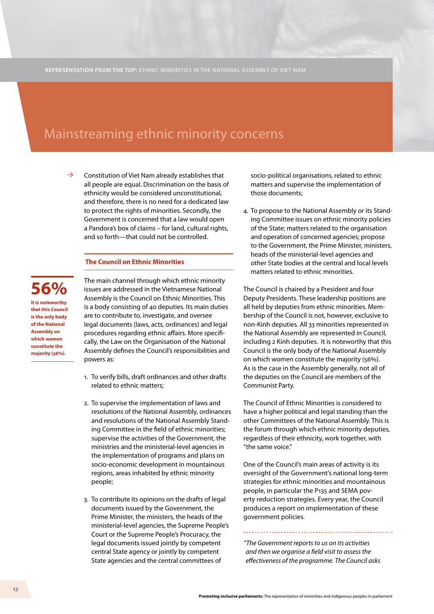Constitution of Viet Nam already establishes that all people are equal. Discrimination on the basis of ethnicity would be considered unconstitutional, and therefore, there is no need for a dedicated law to protect the rights of minorities. Secondly, the Government is concerned that a law would open a Pandora's box of claims – for land, cultural rights, and so forth—that could not be controlled.  $\rightarrow$ 

#### **The Council on Ethnic Minorities**

**56%**

**It is noteworthy that this Council is the only body of the National Assembly on which women constitute the majority (56%).** 

The main channel through which ethnic minority issues are addressed in the Vietnamese National Assembly is the Council on Ethnic Minorities. This is a body consisting of 40 deputies. Its main duties are to contribute to, investigate, and oversee legal documents (laws, acts, ordinances) and legal procedures regarding ethnic affairs. More specifically, the Law on the Organisation of the National Assembly defines the Council's responsibilities and powers as:

- 1. To verify bills, draft ordinances and other drafts related to ethnic matters;
- 2. To supervise the implementation of laws and resolutions of the National Assembly, ordinances and resolutions of the National Assembly Standing Committee in the field of ethnic minorities; supervise the activities of the Government, the ministries and the ministerial-level agencies in the implementation of programs and plans on socio-economic development in mountainous regions, areas inhabited by ethnic minority people;
- 3. To contribute its opinions on the drafts of legal documents issued by the Government, the Prime Minister, the ministers, the heads of the ministerial-level agencies, the Supreme People's Court or the Supreme People's Procuracy, the legal documents issued jointly by competent central State agency or jointly by competent State agencies and the central committees of

socio-political organisations, related to ethnic matters and supervise the implementation of those documents;

4. To propose to the National Assembly or its Standing Committee issues on ethnic minority policies of the State; matters related to the organisation and operation of concerned agencies; propose to the Government, the Prime Minister, ministers, heads of the ministerial-level agencies and other State bodies at the central and local levels matters related to ethnic minorities.

The Council is chaired by a President and four Deputy Presidents. These leadership positions are all held by deputies from ethnic minorities. Membership of the Council is not, however, exclusive to non-Kinh deputies. All 33 minorities represented in the National Assembly are represented in Council, including 2 Kinh deputies. It is noteworthy that this Council is the only body of the National Assembly on which women constitute the majority (56%). As is the case in the Assembly generally, not all of the deputies on the Council are members of the Communist Party.

The Council of Ethnic Minorities is considered to have a higher political and legal standing than the other Committees of the National Assembly. This is the forum through which ethnic minority deputies, regardless of their ethnicity, work together, with "the same voice."

One of the Council's main areas of activity is its oversight of the Government's national long-term strategies for ethnic minorities and mountainous people, in particular the P135 and SEMA poverty reduction strategies. Every year, the Council produces a report on implementation of these government policies.

*"The Government reports to us on its activities and then we organise a field visit to assess the effectiveness of the programme. The Council asks*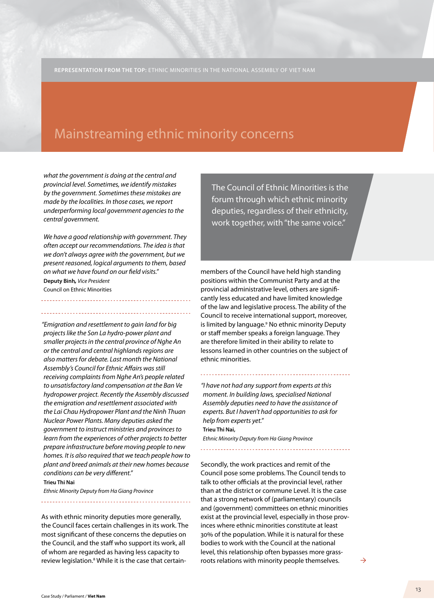*what the government is doing at the central and provincial level. Sometimes, we identify mistakes by the government. Sometimes these mistakes are made by the localities. In those cases, we report underperforming local government agencies to the central government.*

*We have a good relationship with government. They often accept our recommendations. The idea is that we don't always agree with the government, but we present reasoned, logical arguments to them, based on what we have found on our field visits."*  **Deputy Binh***, Vice President*

Council on Ethnic Minorities

*"Emigration and resettlement to gain land for big projects like the Son La hydro-power plant and smaller projects in the central province of Nghe An or the central and central highlands regions are also matters for debate. Last month the National Assembly's Council for Ethnic Affairs was still receiving complaints from Nghe An's people related to unsatisfactory land compensation at the Ban Ve hydropower project. Recently the Assembly discussed the emigration and resettlement associated with the Lai Chau Hydropower Plant and the Ninh Thuan Nuclear Power Plants. Many deputies asked the government to instruct ministries and provinces to learn from the experiences of other projects to better prepare infrastructure before moving people to new homes. It is also required that we teach people how to plant and breed animals at their new homes because conditions can be very different."*

**Trieu Thi Nai**

*Ethnic Minority Deputy from Ha Giang Province* 

As with ethnic minority deputies more generally, the Council faces certain challenges in its work. The most significant of these concerns the deputies on the Council, and the staff who support its work, all of whom are regarded as having less capacity to review legislation.<sup>8</sup> While it is the case that certainThe Council of Ethnic Minorities is the forum through which ethnic minority deputies, regardless of their ethnicity, work together, with "the same voice."

members of the Council have held high standing positions within the Communist Party and at the provincial administrative level, others are significantly less educated and have limited knowledge of the law and legislative process. The ability of the Council to receive international support, moreover, is limited by language.<sup>9</sup> No ethnic minority Deputy or staff member speaks a foreign language. They are therefore limited in their ability to relate to lessons learned in other countries on the subject of ethnic minorities.

*"I have not had any support from experts at this moment. In building laws, specialised National Assembly deputies need to have the assistance of experts. But I haven't had opportunities to ask for help from experts yet."*  **Trieu Thi Nai,** 

*Ethnic Minority Deputy from Ha Giang Province*

Secondly, the work practices and remit of the Council pose some problems. The Council tends to talk to other officials at the provincial level, rather than at the district or commune Level. It is the case that a strong network of (parliamentary) councils and (government) committees on ethnic minorities exist at the provincial level, especially in those provinces where ethnic minorities constitute at least 30% of the population. While it is natural for these bodies to work with the Council at the national level, this relationship often bypasses more grassroots relations with minority people themselves.

 $\rightarrow$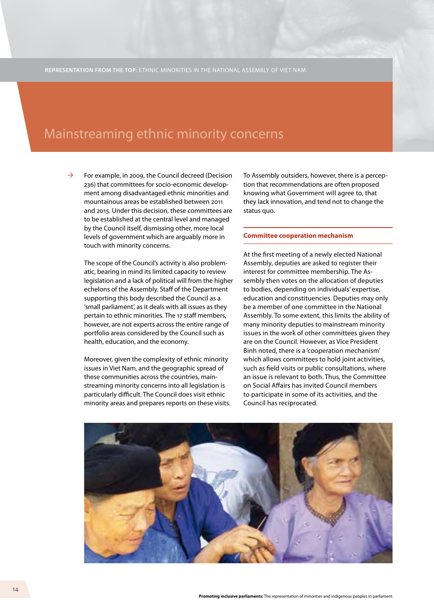For example, in 2009, the Council decreed (Decision 236) that committees for socio-economic development among disadvantaged ethnic minorities and mountainous areas be established between 2011 and 2015. Under this decision, these committees are to be established at the central level and managed by the Council itself, dismissing other, more local levels of government which are arguably more in touch with minority concerns.  $\rightarrow$ 

> The scope of the Council's activity is also problematic, bearing in mind its limited capacity to review legislation and a lack of political will from the higher echelons of the Assembly. Staff of the Department supporting this body described the Council as a 'small parliament', as it deals with all issues as they pertain to ethnic minorities. The 17 staff members, however, are not experts across the entire range of portfolio areas considered by the Council such as health, education, and the economy.

Moreover, given the complexity of ethnic minority issues in Viet Nam, and the geographic spread of these communities across the countries, mainstreaming minority concerns into all legislation is particularly difficult. The Council does visit ethnic minority areas and prepares reports on these visits. To Assembly outsiders, however, there is a perception that recommendations are often proposed knowing what Government will agree to, that they lack innovation, and tend not to change the status quo.

#### **Committee cooperation mechanism**

At the first meeting of a newly elected National Assembly, deputies are asked to register their interest for committee membership. The Assembly then votes on the allocation of deputies to bodies, depending on individuals' expertise, education and constituencies. Deputies may only be a member of one committee in the National Assembly. To some extent, this limits the ability of many minority deputies to mainstream minority issues in the work of other committees given they are on the Council. However, as Vice President Binh noted, there is a 'cooperation mechanism' which allows committees to hold joint activities, such as field visits or public consultations, where an issue is relevant to both. Thus, the Committee on Social Affairs has invited Council members to participate in some of its activities, and the Council has reciprocated.

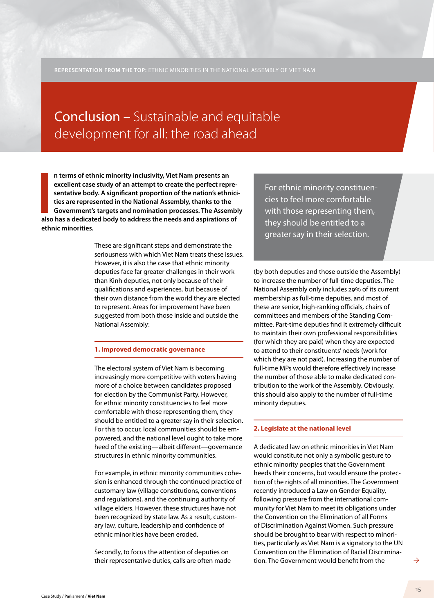## Conclusion – Sustainable and equitable development for all: the road ahead

In terms of ethnic minority inclusivity, Viet Nam presents an excellent case study of an attempt to create the perfect representative body. A significant proportion of the nation's ethnicities are represented in the Nation **n terms of ethnic minority inclusivity, Viet Nam presents an excellent case study of an attempt to create the perfect representative body. A significant proportion of the nation's ethnicities are represented in the National Assembly, thanks to the Government's targets and nomination processes. The Assembly ethnic minorities.** 

> These are significant steps and demonstrate the seriousness with which Viet Nam treats these issues. However, it is also the case that ethnic minority deputies face far greater challenges in their work than Kinh deputies, not only because of their qualifications and experiences, but because of their own distance from the world they are elected to represent. Areas for improvement have been suggested from both those inside and outside the National Assembly:

#### **1. Improved democratic governance**

The electoral system of Viet Nam is becoming increasingly more competitive with voters having more of a choice between candidates proposed for election by the Communist Party. However, for ethnic minority constituencies to feel more comfortable with those representing them, they should be entitled to a greater say in their selection. For this to occur, local communities should be empowered, and the national level ought to take more heed of the existing—albeit different—governance structures in ethnic minority communities.

For example, in ethnic minority communities cohesion is enhanced through the continued practice of customary law (village constitutions, conventions and regulations), and the continuing authority of village elders. However, these structures have not been recognized by state law. As a result, customary law, culture, leadership and confidence of ethnic minorities have been eroded.

Secondly, to focus the attention of deputies on their representative duties, calls are often made

For ethnic minority constituencies to feel more comfortable with those representing them, they should be entitled to a greater say in their selection.

(by both deputies and those outside the Assembly) to increase the number of full-time deputies. The National Assembly only includes 29% of its current membership as full-time deputies, and most of these are senior, high-ranking officials, chairs of committees and members of the Standing Committee. Part-time deputies find it extremely difficult to maintain their own professional responsibilities (for which they are paid) when they are expected to attend to their constituents' needs (work for which they are not paid). Increasing the number of full-time MPs would therefore effectively increase the number of those able to make dedicated contribution to the work of the Assembly. Obviously, this should also apply to the number of full-time minority deputies.

## **2. Legislate at the national level**

A dedicated law on ethnic minorities in Viet Nam would constitute not only a symbolic gesture to ethnic minority peoples that the Government heeds their concerns, but would ensure the protection of the rights of all minorities. The Government recently introduced a Law on Gender Equality, following pressure from the international community for Viet Nam to meet its obligations under the Convention on the Elimination of all Forms of Discrimination Against Women. Such pressure should be brought to bear with respect to minorities, particularly as Viet Nam is a signatory to the UN Convention on the Elimination of Racial Discrimination. The Government would benefit from the

 $\rightarrow$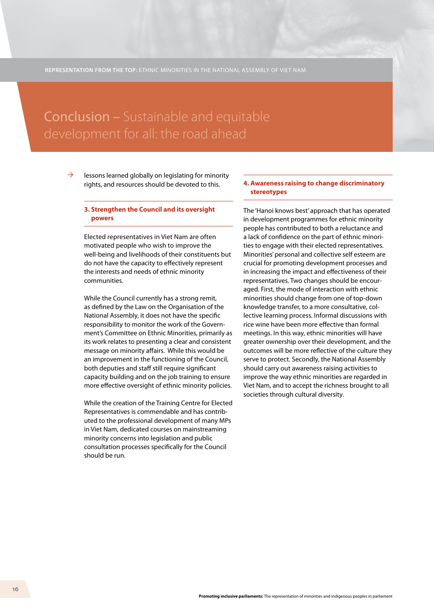# Conclusion – Sustainable and equitable

lessons learned globally on legislating for minority rights, and resources should be devoted to this.  $\rightarrow$ 

#### **3. Strengthen the Council and its oversight powers**

Elected representatives in Viet Nam are often motivated people who wish to improve the well-being and livelihoods of their constituents but do not have the capacity to effectively represent the interests and needs of ethnic minority communities.

While the Council currently has a strong remit, as defined by the Law on the Organisation of the National Assembly, it does not have the specific responsibility to monitor the work of the Government's Committee on Ethnic Minorities, primarily as its work relates to presenting a clear and consistent message on minority affairs. While this would be an improvement in the functioning of the Council, both deputies and staff still require significant capacity building and on the job training to ensure more effective oversight of ethnic minority policies.

While the creation of the Training Centre for Elected Representatives is commendable and has contributed to the professional development of many MPs in Viet Nam, dedicated courses on mainstreaming minority concerns into legislation and public consultation processes specifically for the Council should be run.

## **4. Awareness raising to change discriminatory stereotypes**

The 'Hanoi knows best' approach that has operated in development programmes for ethnic minority people has contributed to both a reluctance and a lack of confidence on the part of ethnic minorities to engage with their elected representatives. Minorities' personal and collective self esteem are crucial for promoting development processes and in increasing the impact and effectiveness of their representatives. Two changes should be encouraged. First, the mode of interaction with ethnic minorities should change from one of top-down knowledge transfer, to a more consultative, collective learning process. Informal discussions with rice wine have been more effective than formal meetings. In this way, ethnic minorities will have greater ownership over their development, and the outcomes will be more reflective of the culture they serve to protect. Secondly, the National Assembly should carry out awareness raising activities to improve the way ethnic minorities are regarded in Viet Nam, and to accept the richness brought to all societies through cultural diversity.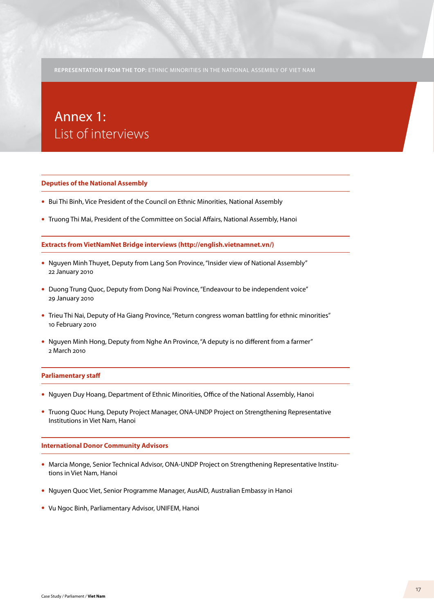## Annex 1: List of interviews

#### **Deputies of the National Assembly**

- Bui Thi Binh, Vice President of the Council on Ethnic Minorities, National Assembly
- Truong Thi Mai, President of the Committee on Social Affairs, National Assembly, Hanoi

#### **Extracts from VietNamNet Bridge interviews (http://english.vietnamnet.vn/)**

- Nguyen Minh Thuyet, Deputy from Lang Son Province, "Insider view of National Assembly" 22 January 2010
- Duong Trung Quoc, Deputy from Dong Nai Province, "Endeavour to be independent voice" 29 January 2010
- Trieu Thi Nai, Deputy of Ha Giang Province, "Return congress woman battling for ethnic minorities" 10 February 2010
- Nguyen Minh Hong, Deputy from Nghe An Province, "A deputy is no different from a farmer" 2 March 2010

#### **Parliamentary staff**

- Nguyen Duy Hoang, Department of Ethnic Minorities, Office of the National Assembly, Hanoi
- Truong Quoc Hung, Deputy Project Manager, ONA-UNDP Project on Strengthening Representative Institutions in Viet Nam, Hanoi

#### **International Donor Community Advisors**

- Marcia Monge, Senior Technical Advisor, ONA-UNDP Project on Strengthening Representative Institutions in Viet Nam, Hanoi
- Nguyen Quoc Viet, Senior Programme Manager, AusAID, Australian Embassy in Hanoi
- Vu Ngoc Binh, Parliamentary Advisor, UNIFEM, Hanoi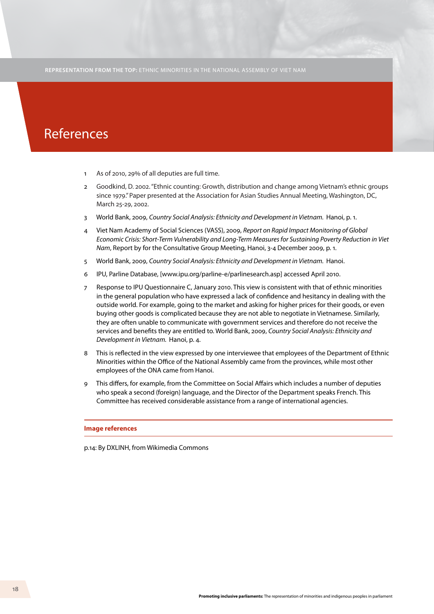## References

- 1 As of 2010, 29% of all deputies are full time.
- 2 Goodkind, D. 2002. "Ethnic counting: Growth, distribution and change among Vietnam's ethnic groups since 1979." Paper presented at the Association for Asian Studies Annual Meeting, Washington, DC, March 25-29, 2002.
- 3 World Bank, 2009, *Country Social Analysis: Ethnicity and Development in Vietnam.* Hanoi, p. 1.
- 4 Viet Nam Academy of Social Sciences (VASS), 2009, *Report on Rapid Impact Monitoring of Global Economic Crisis: Short-Term Vulnerability and Long-Term Measures for Sustaining Poverty Reduction in Viet Nam*, Report by for the Consultative Group Meeting, Hanoi, 3-4 December 2009, p. 1.
- 5 World Bank, 2009, *Country Social Analysis: Ethnicity and Development in Vietnam.* Hanoi.
- 6 IPU, Parline Database, [www.ipu.org/parline-e/parlinesearch.asp] accessed April 2010.
- 7 Response to IPU Questionnaire C, January 2010. This view is consistent with that of ethnic minorities in the general population who have expressed a lack of confidence and hesitancy in dealing with the outside world. For example, going to the market and asking for higher prices for their goods, or even buying other goods is complicated because they are not able to negotiate in Vietnamese. Similarly, they are often unable to communicate with government services and therefore do not receive the services and benefits they are entitled to. World Bank, 2009, *Country Social Analysis: Ethnicity and Development in Vietnam.* Hanoi, p. 4.
- 8 This is reflected in the view expressed by one interviewee that employees of the Department of Ethnic Minorities within the Office of the National Assembly came from the provinces, while most other employees of the ONA came from Hanoi.
- 9 This differs, for example, from the Committee on Social Affairs which includes a number of deputies who speak a second (foreign) language, and the Director of the Department speaks French. This Committee has received considerable assistance from a range of international agencies.

**Image references**

p.14: By DXLINH, from Wikimedia Commons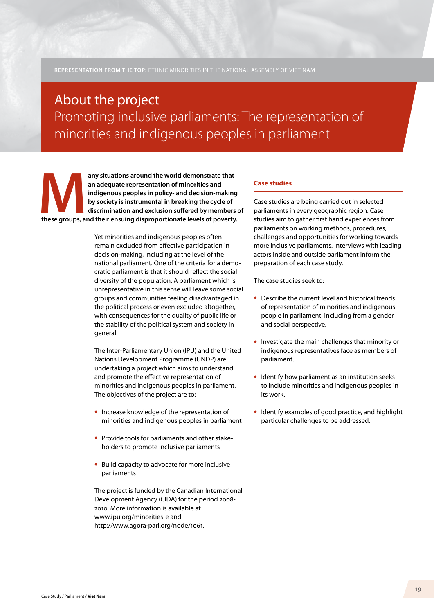## About the project Promoting inclusive parliaments: The representation of minorities and indigenous peoples in parliament

**these groups, and their ensuing disproportionate levels of poverty.**<br> **these groups, and their ensuing disproportionate levels of poverty.**<br> **these groups, and their ensuing disproportionate levels of poverty. an adequate representation of minorities and indigenous peoples in policy- and decision-making by society is instrumental in breaking the cycle of discrimination and exclusion suffered by members of** 

> Yet minorities and indigenous peoples often remain excluded from effective participation in decision-making, including at the level of the national parliament. One of the criteria for a democratic parliament is that it should reflect the social diversity of the population. A parliament which is unrepresentative in this sense will leave some social groups and communities feeling disadvantaged in the political process or even excluded altogether, with consequences for the quality of public life or the stability of the political system and society in general.

The Inter-Parliamentary Union (IPU) and the United Nations Development Programme (UNDP) are undertaking a project which aims to understand and promote the effective representation of minorities and indigenous peoples in parliament. The objectives of the project are to:

- Increase knowledge of the representation of minorities and indigenous peoples in parliament
- Provide tools for parliaments and other stakeholders to promote inclusive parliaments
- Build capacity to advocate for more inclusive parliaments

The project is funded by the Canadian International Development Agency (CIDA) for the period 2008- 2010. More information is available at www.ipu.org/minorities-e and http://www.agora-parl.org/node/1061.

## **Case studies**

Case studies are being carried out in selected parliaments in every geographic region. Case studies aim to gather first hand experiences from parliaments on working methods, procedures, challenges and opportunities for working towards more inclusive parliaments. Interviews with leading actors inside and outside parliament inform the preparation of each case study.

The case studies seek to:

- Describe the current level and historical trends of representation of minorities and indigenous people in parliament, including from a gender and social perspective.
- Investigate the main challenges that minority or indigenous representatives face as members of parliament.
- Identify how parliament as an institution seeks to include minorities and indigenous peoples in its work.
- Identify examples of good practice, and highlight particular challenges to be addressed.